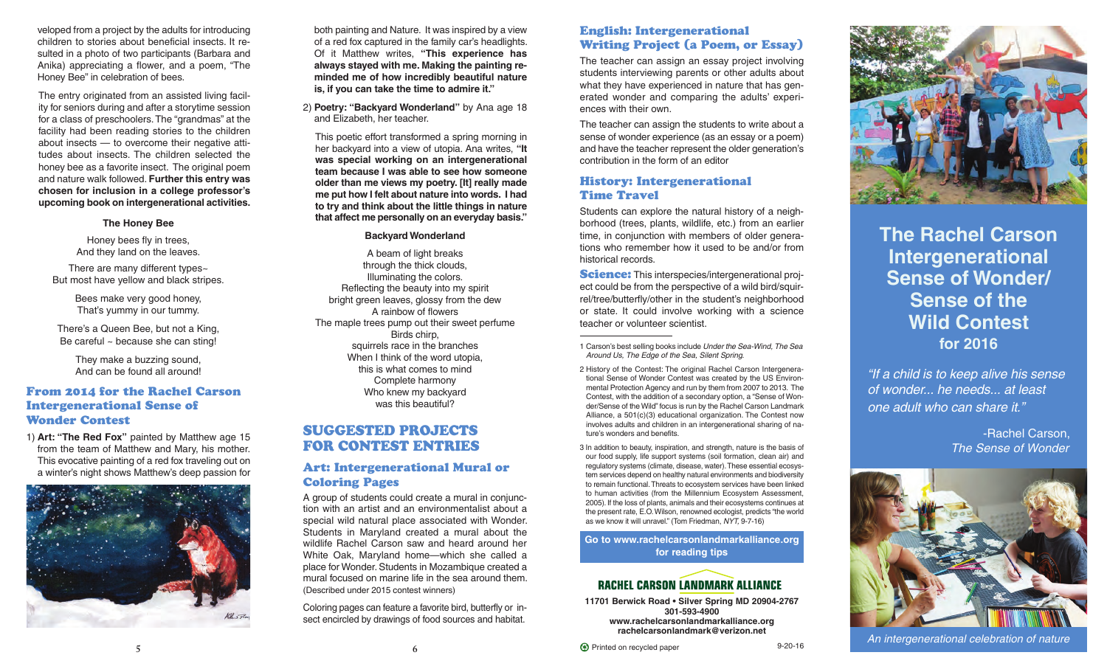veloped from a project by the adults for introducing children to stories about beneficial insects. It resulted in a photo of two participants (Barbara and Anika) appreciating a flower, and a poem, "The Honey Bee" in celebration of bees.

The entry originated from an assisted living facility for seniors during and after a storytime session for a class of preschoolers.The "grandmas" at the facility had been reading stories to the children about insects — to overcome their negative attitudes about insects. The children selected the honey bee as a favorite insect. The original poem and nature walk followed. **Further this entry was chosen for inclusion in a college professor's upcoming book on intergenerational activities.**

#### **The Honey Bee**

Honey bees fly in trees, And they land on the leaves.

There are many different types~ But most have yellow and black stripes.

> Bees make very good honey, That's yummy in our tummy.

There's a Queen Bee, but not a King, Be careful ~ because she can sting!

> They make a buzzing sound, And can be found all around!

## **From 2014 for the Rachel Carson Intergenerational Sense of Wonder Contest**

1) **Art: "The Red Fox"** painted by Matthew age 15 from the team of Matthew and Mary, his mother. This evocative painting of a red fox traveling out on a winter's night shows Matthew's deep passion for



both painting and Nature. It was inspired by a view of a red fox captured in the family car's headlights. Of it Matthew writes, **"This experience has always stayed with me. Making the painting reminded me of how incredibly beautiful nature is, if you can take the time to admire it."**

2) **Poetry: "Backyard Wonderland"** by Ana age 18 and Elizabeth, her teacher.

This poetic effort transformed a spring morning in her backyard into a view of utopia. Ana writes, **"It was special working on an intergenerational team because I was able to see how someone older than me views my poetry. [It] really made me put how I felt about nature into words. I had to try and think about the little things in nature that affect me personally on an everyday basis."**

#### **Backyard Wonderland**

A beam of light breaks through the thick clouds, Illuminating the colors. Reflecting the beauty into my spirit bright green leaves, glossy from the dew A rainbow of flowers The maple trees pump out their sweet perfume Birds chirp, squirrels race in the branches When I think of the word utopia, this is what comes to mind Complete harmony Who knew my backyard was this beautiful?

# **SUGGESTED PROJECTS FOR CONTEST ENTRIES**

## **Art: Intergenerational Mural or Coloring Pages**

A group of students could create a mural in conjunction with an artist and an environmentalist about a special wild natural place associated with Wonder. Students in Maryland created a mural about the wildlife Rachel Carson saw and heard around her White Oak, Maryland home—which she called a place for Wonder. Students in Mozambique created a mural focused on marine life in the sea around them. (Described under 2015 contest winners)

Coloring pages can feature a favorite bird, butterfly or insect encircled by drawings of food sources and habitat.

# **English: Intergenerational Writing Project (a Poem, or Essay)**

The teacher can assign an essay project involving students interviewing parents or other adults about what they have experienced in nature that has generated wonder and comparing the adults' experiences with their own.

The teacher can assign the students to write about a sense of wonder experience (as an essay or a poem) and have the teacher represent the older generation's contribution in the form of an editor

# **History: Intergenerational Time Travel**

Students can explore the natural history of a neighborhood (trees, plants, wildlife, etc.) from an earlier time, in conjunction with members of older generations who remember how it used to be and/or from historical records.

**Science:** This interspecies/intergenerational proiect could be from the perspective of a wild bird/squirrel/tree/butterfly/other in the student's neighborhood or state. It could involve working with a science teacher or volunteer scientist.

1 Carson's best selling books include *Under the Sea-Wind, The Sea Around Us, The Edge of the Sea, Silent Spring*.

- 2 History of the Contest: The original Rachel Carson Intergenerational Sense of Wonder Contest was created by the US Environmental Protection Agency and run by them from 2007 to 2013. The Contest, with the addition of a secondary option, a "Sense of Wonder/Sense of the Wild" focus is run by the Rachel Carson Landmark Alliance, a 501(c)(3) educational organization. The Contest now involves adults and children in an intergenerational sharing of nature's wonders and benefits.
- 3 In addition to beauty, inspiration, and strength, nature is the basis of our food supply, life support systems (soil formation, clean air) and regulatory systems (climate, disease, water).These essential ecosystem services depend on healthy natural environments and biodiversity to remain functional.Threats to ecosystem services have been linked to human activities (from the Millennium Ecosystem Assessment, 2005). If the loss of plants, animals and their ecosystems continues at the present rate, E.O.Wilson, renowned ecologist, predicts "the world as we know it will unravel." (Tom Friedman, *NYT,* 9-7-16)

**[Go to www.rachelcarsonlandmarkalliance.org](http://rachelcarsonlandmarkalliance.org/events-outreach/rachel-carson-intergenerational-sense-of-wondersense-of-the-wild-contest-2016/rachel-carson-intergenerational-sense-of-wondersense-of-the-wild-reading-tips/) [for reading tips](http://rachelcarsonlandmarkalliance.org/events-outreach/rachel-carson-intergenerational-sense-of-wondersense-of-the-wild-contest-2016/rachel-carson-intergenerational-sense-of-wondersense-of-the-wild-reading-tips/)**

# **RACHEL CARSON LANDMARK ALLIANCE**

**11701 Berwick Road • Silver Spring MD 20904-2767 301-593-4900 <www.rachelcarsonlandmarkalliance.org> [rachelcarsonlandmark@verizon.net](mailto:rachelcarsonlandmark@verizon.net)**





# **The Rachel Carson Intergenerational Sense of Wonder/ Sense of the Wild Contest for 2016**

*"If a child is to keep alive his sense of wonder... he needs... at least one adult who can share it."*

> -Rachel Carson, *The Sense of Wonder*



*An intergenerational celebration of nature*

**5 6** <sup>E</sup> Printed on recycled paper